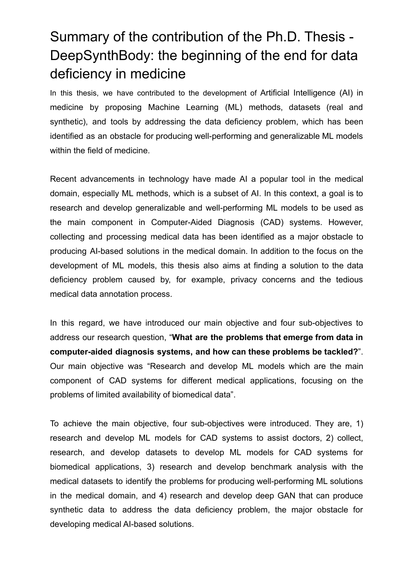## Summary of the contribution of the Ph.D. Thesis - DeepSynthBody: the beginning of the end for data deficiency in medicine

In this thesis, we have contributed to the development of Artificial Intelligence (AI) in medicine by proposing Machine Learning (ML) methods, datasets (real and synthetic), and tools by addressing the data deficiency problem, which has been identified as an obstacle for producing well-performing and generalizable ML models within the field of medicine.

Recent advancements in technology have made AI a popular tool in the medical domain, especially ML methods, which is a subset of AI. In this context, a goal is to research and develop generalizable and well-performing ML models to be used as the main component in Computer-Aided Diagnosis (CAD) systems. However, collecting and processing medical data has been identified as a major obstacle to producing AI-based solutions in the medical domain. In addition to the focus on the development of ML models, this thesis also aims at finding a solution to the data deficiency problem caused by, for example, privacy concerns and the tedious medical data annotation process.

In this regard, we have introduced our main objective and four sub-objectives to address our research question, "**What are the problems that emerge from data in computer-aided diagnosis systems, and how can these problems be tackled?**". Our main objective was "Research and develop ML models which are the main component of CAD systems for different medical applications, focusing on the problems of limited availability of biomedical data".

To achieve the main objective, four sub-objectives were introduced. They are, 1) research and develop ML models for CAD systems to assist doctors, 2) collect, research, and develop datasets to develop ML models for CAD systems for biomedical applications, 3) research and develop benchmark analysis with the medical datasets to identify the problems for producing well-performing ML solutions in the medical domain, and 4) research and develop deep GAN that can produce synthetic data to address the data deficiency problem, the major obstacle for developing medical AI-based solutions.